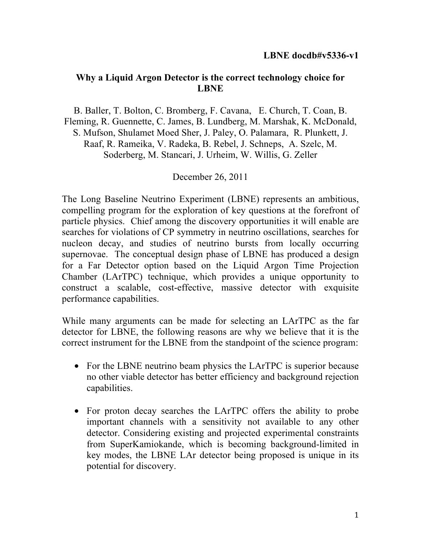#### **Why a Liquid Argon Detector is the correct technology choice for LBNE**

B. Baller, T. Bolton, C. Bromberg, F. Cavana, E. Church, T. Coan, B. Fleming, R. Guennette, C. James, B. Lundberg, M. Marshak, K. McDonald, S. Mufson, Shulamet Moed Sher, J. Paley, O. Palamara, R. Plunkett, J. Raaf, R. Rameika, V. Radeka, B. Rebel, J. Schneps, A. Szelc, M. Soderberg, M. Stancari, J. Urheim, W. Willis, G. Zeller

#### December 26, 2011

The Long Baseline Neutrino Experiment (LBNE) represents an ambitious, compelling program for the exploration of key questions at the forefront of particle physics. Chief among the discovery opportunities it will enable are searches for violations of CP symmetry in neutrino oscillations, searches for nucleon decay, and studies of neutrino bursts from locally occurring supernovae. The conceptual design phase of LBNE has produced a design for a Far Detector option based on the Liquid Argon Time Projection Chamber (LArTPC) technique, which provides a unique opportunity to construct a scalable, cost-effective, massive detector with exquisite performance capabilities.

While many arguments can be made for selecting an LArTPC as the far detector for LBNE, the following reasons are why we believe that it is the correct instrument for the LBNE from the standpoint of the science program:

- For the LBNE neutrino beam physics the LArTPC is superior because no other viable detector has better efficiency and background rejection capabilities.
- For proton decay searches the LArTPC offers the ability to probe important channels with a sensitivity not available to any other detector. Considering existing and projected experimental constraints from SuperKamiokande, which is becoming background-limited in key modes, the LBNE LAr detector being proposed is unique in its potential for discovery.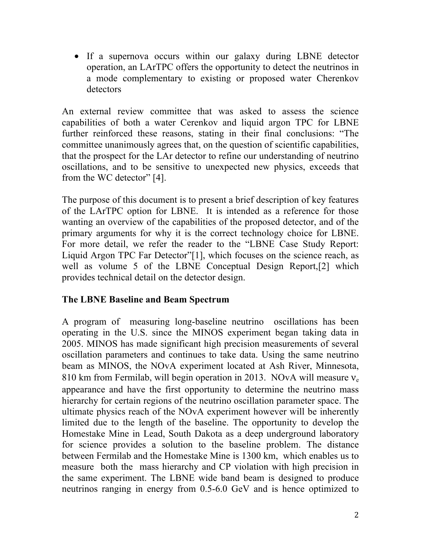• If a supernova occurs within our galaxy during LBNE detector operation, an LArTPC offers the opportunity to detect the neutrinos in a mode complementary to existing or proposed water Cherenkov detectors

An external review committee that was asked to assess the science capabilities of both a water Cerenkov and liquid argon TPC for LBNE further reinforced these reasons, stating in their final conclusions: "The committee unanimously agrees that, on the question of scientific capabilities, that the prospect for the LAr detector to refine our understanding of neutrino oscillations, and to be sensitive to unexpected new physics, exceeds that from the WC detector" [4].

The purpose of this document is to present a brief description of key features of the LArTPC option for LBNE. It is intended as a reference for those wanting an overview of the capabilities of the proposed detector, and of the primary arguments for why it is the correct technology choice for LBNE. For more detail, we refer the reader to the "LBNE Case Study Report: Liquid Argon TPC Far Detector"[1], which focuses on the science reach, as well as volume 5 of the LBNE Conceptual Design Report,[2] which provides technical detail on the detector design.

#### **The LBNE Baseline and Beam Spectrum**

A program of measuring long-baseline neutrino oscillations has been operating in the U.S. since the MINOS experiment began taking data in 2005. MINOS has made significant high precision measurements of several oscillation parameters and continues to take data. Using the same neutrino beam as MINOS, the NOvA experiment located at Ash River, Minnesota, 810 km from Fermilab, will begin operation in 2013. NOvA will measure  $v_e$ appearance and have the first opportunity to determine the neutrino mass hierarchy for certain regions of the neutrino oscillation parameter space. The ultimate physics reach of the NOvA experiment however will be inherently limited due to the length of the baseline. The opportunity to develop the Homestake Mine in Lead, South Dakota as a deep underground laboratory for science provides a solution to the baseline problem. The distance between Fermilab and the Homestake Mine is 1300 km, which enables us to measure both the mass hierarchy and CP violation with high precision in the same experiment. The LBNE wide band beam is designed to produce neutrinos ranging in energy from 0.5-6.0 GeV and is hence optimized to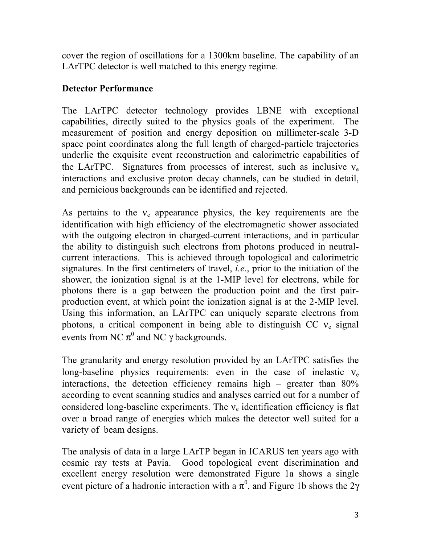cover the region of oscillations for a 1300km baseline. The capability of an LArTPC detector is well matched to this energy regime.

## **Detector Performance**

The LArTPC detector technology provides LBNE with exceptional capabilities, directly suited to the physics goals of the experiment. The measurement of position and energy deposition on millimeter-scale 3-D space point coordinates along the full length of charged-particle trajectories underlie the exquisite event reconstruction and calorimetric capabilities of the LArTPC. Signatures from processes of interest, such as inclusive  $v_e$ interactions and exclusive proton decay channels, can be studied in detail, and pernicious backgrounds can be identified and rejected.

As pertains to the  $v_e$  appearance physics, the key requirements are the identification with high efficiency of the electromagnetic shower associated with the outgoing electron in charged-current interactions, and in particular the ability to distinguish such electrons from photons produced in neutralcurrent interactions. This is achieved through topological and calorimetric signatures. In the first centimeters of travel, *i.e*., prior to the initiation of the shower, the ionization signal is at the 1-MIP level for electrons, while for photons there is a gap between the production point and the first pairproduction event, at which point the ionization signal is at the 2-MIP level. Using this information, an LArTPC can uniquely separate electrons from photons, a critical component in being able to distinguish CC  $v_e$  signal events from NC  $\pi^0$  and NC  $\gamma$  backgrounds.

The granularity and energy resolution provided by an LArTPC satisfies the long-baseline physics requirements: even in the case of inelastic  $v_e$ interactions, the detection efficiency remains high – greater than 80% according to event scanning studies and analyses carried out for a number of considered long-baseline experiments. The  $v_e$  identification efficiency is flat over a broad range of energies which makes the detector well suited for a variety of beam designs.

The analysis of data in a large LArTP began in ICARUS ten years ago with cosmic ray tests at Pavia. Good topological event discrimination and excellent energy resolution were demonstrated Figure 1a shows a single event picture of a hadronic interaction with a  $\pi^0$ , and Figure 1b shows the 2 $\gamma$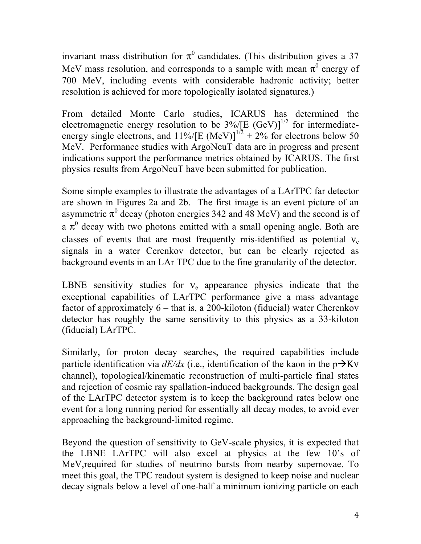invariant mass distribution for  $\pi^0$  candidates. (This distribution gives a 37 MeV mass resolution, and corresponds to a sample with mean  $\pi^0$  energy of 700 MeV, including events with considerable hadronic activity; better resolution is achieved for more topologically isolated signatures.)

From detailed Monte Carlo studies, ICARUS has determined the electromagnetic energy resolution to be  $3\%$  [E (GeV)]<sup>1/2</sup> for intermediateenergy single electrons, and  $11\%/{\text{[E (MeV)]}}^{1/2} + 2\%$  for electrons below 50 MeV. Performance studies with ArgoNeuT data are in progress and present indications support the performance metrics obtained by ICARUS. The first physics results from ArgoNeuT have been submitted for publication.

Some simple examples to illustrate the advantages of a LArTPC far detector are shown in Figures 2a and 2b. The first image is an event picture of an asymmetric  $\pi^0$  decay (photon energies 342 and 48 MeV) and the second is of a  $\pi^0$  decay with two photons emitted with a small opening angle. Both are classes of events that are most frequently mis-identified as potential  $v_e$ signals in a water Cerenkov detector, but can be clearly rejected as background events in an LAr TPC due to the fine granularity of the detector.

LBNE sensitivity studies for  $v_e$  appearance physics indicate that the exceptional capabilities of LArTPC performance give a mass advantage factor of approximately  $6 -$  that is, a 200-kiloton (fiducial) water Cherenkov detector has roughly the same sensitivity to this physics as a 33-kiloton (fiducial) LArTPC.

Similarly, for proton decay searches, the required capabilities include particle identification via  $dE/dx$  (i.e., identification of the kaon in the  $p\rightarrow Kv$ channel), topological/kinematic reconstruction of multi-particle final states and rejection of cosmic ray spallation-induced backgrounds. The design goal of the LArTPC detector system is to keep the background rates below one event for a long running period for essentially all decay modes, to avoid ever approaching the background-limited regime.

Beyond the question of sensitivity to GeV-scale physics, it is expected that the LBNE LArTPC will also excel at physics at the few 10's of MeV,required for studies of neutrino bursts from nearby supernovae. To meet this goal, the TPC readout system is designed to keep noise and nuclear decay signals below a level of one-half a minimum ionizing particle on each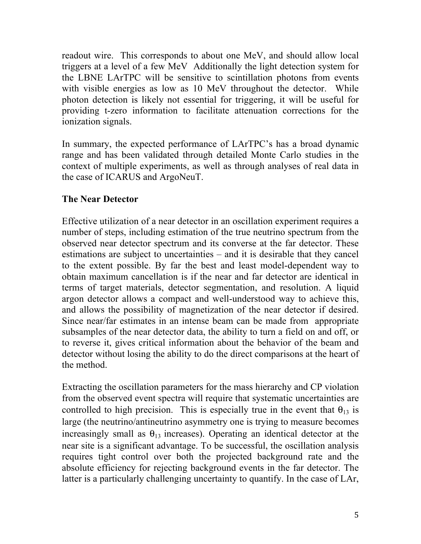readout wire. This corresponds to about one MeV, and should allow local triggers at a level of a few MeV Additionally the light detection system for the LBNE LArTPC will be sensitive to scintillation photons from events with visible energies as low as 10 MeV throughout the detector. While photon detection is likely not essential for triggering, it will be useful for providing t-zero information to facilitate attenuation corrections for the ionization signals.

In summary, the expected performance of LArTPC's has a broad dynamic range and has been validated through detailed Monte Carlo studies in the context of multiple experiments, as well as through analyses of real data in the case of ICARUS and ArgoNeuT.

## **The Near Detector**

Effective utilization of a near detector in an oscillation experiment requires a number of steps, including estimation of the true neutrino spectrum from the observed near detector spectrum and its converse at the far detector. These estimations are subject to uncertainties – and it is desirable that they cancel to the extent possible. By far the best and least model-dependent way to obtain maximum cancellation is if the near and far detector are identical in terms of target materials, detector segmentation, and resolution. A liquid argon detector allows a compact and well-understood way to achieve this, and allows the possibility of magnetization of the near detector if desired. Since near/far estimates in an intense beam can be made from appropriate subsamples of the near detector data, the ability to turn a field on and off, or to reverse it, gives critical information about the behavior of the beam and detector without losing the ability to do the direct comparisons at the heart of the method.

Extracting the oscillation parameters for the mass hierarchy and CP violation from the observed event spectra will require that systematic uncertainties are controlled to high precision. This is especially true in the event that  $\theta_{13}$  is large (the neutrino/antineutrino asymmetry one is trying to measure becomes increasingly small as  $\theta_{13}$  increases). Operating an identical detector at the near site is a significant advantage. To be successful, the oscillation analysis requires tight control over both the projected background rate and the absolute efficiency for rejecting background events in the far detector. The latter is a particularly challenging uncertainty to quantify. In the case of LAr,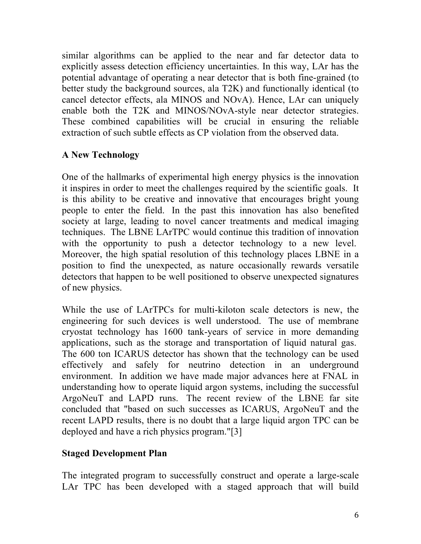similar algorithms can be applied to the near and far detector data to explicitly assess detection efficiency uncertainties. In this way, LAr has the potential advantage of operating a near detector that is both fine-grained (to better study the background sources, ala T2K) and functionally identical (to cancel detector effects, ala MINOS and NOvA). Hence, LAr can uniquely enable both the T2K and MINOS/NOvA-style near detector strategies. These combined capabilities will be crucial in ensuring the reliable extraction of such subtle effects as CP violation from the observed data.

## **A New Technology**

One of the hallmarks of experimental high energy physics is the innovation it inspires in order to meet the challenges required by the scientific goals. It is this ability to be creative and innovative that encourages bright young people to enter the field. In the past this innovation has also benefited society at large, leading to novel cancer treatments and medical imaging techniques. The LBNE LArTPC would continue this tradition of innovation with the opportunity to push a detector technology to a new level. Moreover, the high spatial resolution of this technology places LBNE in a position to find the unexpected, as nature occasionally rewards versatile detectors that happen to be well positioned to observe unexpected signatures of new physics.

While the use of LArTPCs for multi-kiloton scale detectors is new, the engineering for such devices is well understood. The use of membrane cryostat technology has 1600 tank-years of service in more demanding applications, such as the storage and transportation of liquid natural gas. The 600 ton ICARUS detector has shown that the technology can be used effectively and safely for neutrino detection in an underground environment. In addition we have made major advances here at FNAL in understanding how to operate liquid argon systems, including the successful ArgoNeuT and LAPD runs. The recent review of the LBNE far site concluded that "based on such successes as ICARUS, ArgoNeuT and the recent LAPD results, there is no doubt that a large liquid argon TPC can be deployed and have a rich physics program."[3]

# **Staged Development Plan**

The integrated program to successfully construct and operate a large-scale LAr TPC has been developed with a staged approach that will build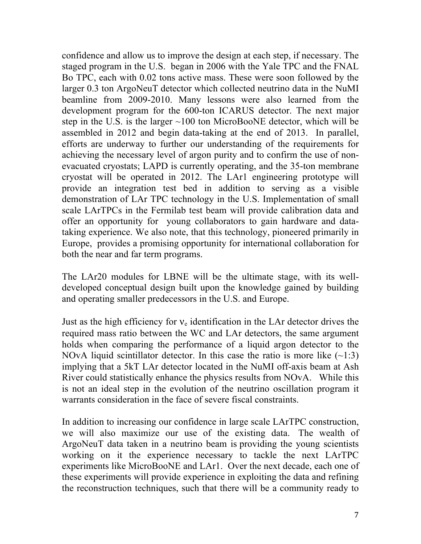confidence and allow us to improve the design at each step, if necessary. The staged program in the U.S. began in 2006 with the Yale TPC and the FNAL Bo TPC, each with 0.02 tons active mass. These were soon followed by the larger 0.3 ton ArgoNeuT detector which collected neutrino data in the NuMI beamline from 2009-2010. Many lessons were also learned from the development program for the 600-ton ICARUS detector. The next major step in the U.S. is the larger ~100 ton MicroBooNE detector, which will be assembled in 2012 and begin data-taking at the end of 2013. In parallel, efforts are underway to further our understanding of the requirements for achieving the necessary level of argon purity and to confirm the use of nonevacuated cryostats; LAPD is currently operating, and the 35-ton membrane cryostat will be operated in 2012. The LAr1 engineering prototype will provide an integration test bed in addition to serving as a visible demonstration of LAr TPC technology in the U.S. Implementation of small scale LArTPCs in the Fermilab test beam will provide calibration data and offer an opportunity for young collaborators to gain hardware and datataking experience. We also note, that this technology, pioneered primarily in Europe, provides a promising opportunity for international collaboration for both the near and far term programs.

The LAr20 modules for LBNE will be the ultimate stage, with its welldeveloped conceptual design built upon the knowledge gained by building and operating smaller predecessors in the U.S. and Europe.

Just as the high efficiency for  $v_e$  identification in the LAr detector drives the required mass ratio between the WC and LAr detectors, the same argument holds when comparing the performance of a liquid argon detector to the NOvA liquid scintillator detector. In this case the ratio is more like  $(-1:3)$ implying that a 5kT LAr detector located in the NuMI off-axis beam at Ash River could statistically enhance the physics results from NOvA. While this is not an ideal step in the evolution of the neutrino oscillation program it warrants consideration in the face of severe fiscal constraints.

In addition to increasing our confidence in large scale LArTPC construction, we will also maximize our use of the existing data. The wealth of ArgoNeuT data taken in a neutrino beam is providing the young scientists working on it the experience necessary to tackle the next LArTPC experiments like MicroBooNE and LAr1. Over the next decade, each one of these experiments will provide experience in exploiting the data and refining the reconstruction techniques, such that there will be a community ready to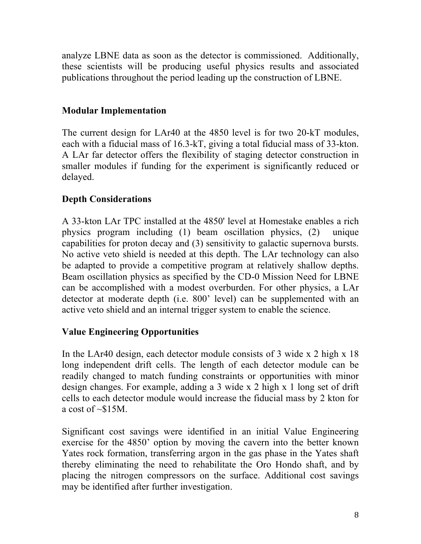analyze LBNE data as soon as the detector is commissioned. Additionally, these scientists will be producing useful physics results and associated publications throughout the period leading up the construction of LBNE.

#### **Modular Implementation**

The current design for LAr40 at the 4850 level is for two 20-kT modules, each with a fiducial mass of 16.3-kT, giving a total fiducial mass of 33-kton. A LAr far detector offers the flexibility of staging detector construction in smaller modules if funding for the experiment is significantly reduced or delayed.

## **Depth Considerations**

A 33-kton LAr TPC installed at the 4850' level at Homestake enables a rich physics program including (1) beam oscillation physics, (2) unique capabilities for proton decay and (3) sensitivity to galactic supernova bursts. No active veto shield is needed at this depth. The LAr technology can also be adapted to provide a competitive program at relatively shallow depths. Beam oscillation physics as specified by the CD-0 Mission Need for LBNE can be accomplished with a modest overburden. For other physics, a LAr detector at moderate depth (i.e. 800' level) can be supplemented with an active veto shield and an internal trigger system to enable the science.

#### **Value Engineering Opportunities**

In the LAr40 design, each detector module consists of 3 wide x 2 high x 18 long independent drift cells. The length of each detector module can be readily changed to match funding constraints or opportunities with minor design changes. For example, adding a 3 wide x 2 high x 1 long set of drift cells to each detector module would increase the fiducial mass by 2 kton for a cost of  $\sim$ \$15M.

Significant cost savings were identified in an initial Value Engineering exercise for the 4850' option by moving the cavern into the better known Yates rock formation, transferring argon in the gas phase in the Yates shaft thereby eliminating the need to rehabilitate the Oro Hondo shaft, and by placing the nitrogen compressors on the surface. Additional cost savings may be identified after further investigation.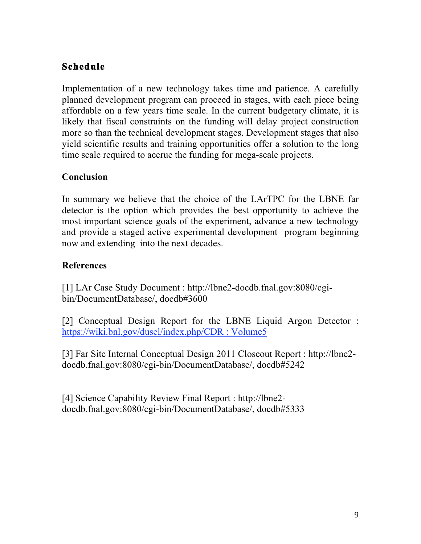# **Schedule**

Implementation of a new technology takes time and patience. A carefully planned development program can proceed in stages, with each piece being affordable on a few years time scale. In the current budgetary climate, it is likely that fiscal constraints on the funding will delay project construction more so than the technical development stages. Development stages that also yield scientific results and training opportunities offer a solution to the long time scale required to accrue the funding for mega-scale projects.

#### **Conclusion**

In summary we believe that the choice of the LArTPC for the LBNE far detector is the option which provides the best opportunity to achieve the most important science goals of the experiment, advance a new technology and provide a staged active experimental development program beginning now and extending into the next decades.

#### **References**

[1] LAr Case Study Document : http://lbne2-docdb.fnal.gov:8080/cgibin/DocumentDatabase/, docdb#3600

[2] Conceptual Design Report for the LBNE Liquid Argon Detector : https://wiki.bnl.gov/dusel/index.php/CDR : Volume5

[3] Far Site Internal Conceptual Design 2011 Closeout Report : http://lbne2 docdb.fnal.gov:8080/cgi-bin/DocumentDatabase/, docdb#5242

[4] Science Capability Review Final Report : http://lbne2 docdb.fnal.gov:8080/cgi-bin/DocumentDatabase/, docdb#5333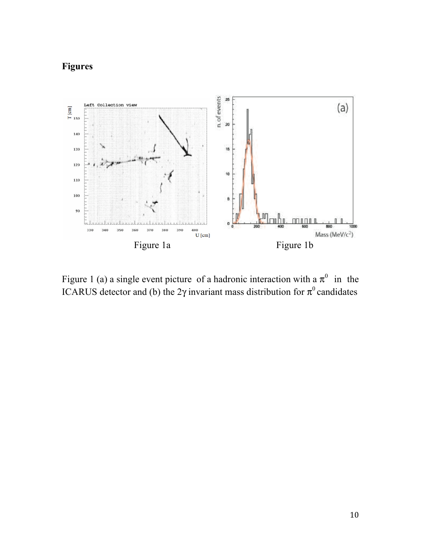# **Figures**



Figure 1 (a) a single event picture of a hadronic interaction with a  $\pi^0$  in the ICARUS detector and (b) the 2γ invariant mass distribution for  $\pi^0$  candidates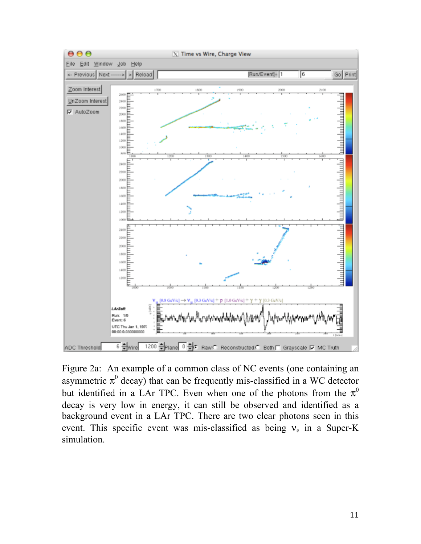

Figure 2a: An example of a common class of NC events (one containing an asymmetric  $\pi^0$  decay) that can be frequently mis-classified in a WC detector but identified in a LAr TPC. Even when one of the photons from the  $\pi^0$ decay is very low in energy, it can still be observed and identified as a background event in a LAr TPC. There are two clear photons seen in this event. This specific event was mis-classified as being  $v_e$  in a Super-K simulation.